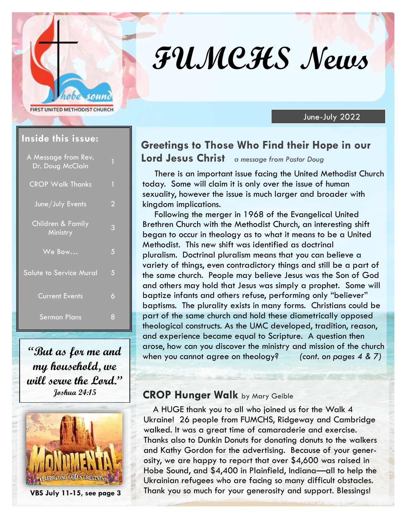# **FUMCHS News**

June-July 2022

#### **Inside this issue:**

**FIRST UNITED METHODIST CHURCH** 

soun

| A Message from Rev.<br>Dr. Doug McClain | Π |
|-----------------------------------------|---|
| <b>CROP Walk Thanks</b>                 | 1 |
| June/July Events                        | 2 |
| Children & Family<br>Ministry           | 3 |
| We Bow                                  | 5 |
| <b>Salute to Service Mural</b>          | 5 |
| <b>Current Events</b>                   | 6 |
| <b>Sermon Plans</b>                     | 8 |

**"But as for me and my household, we will serve the Lord."** 



#### **Greetings to Those Who Find their Hope in our Lord Jesus Christ** *a message from Pastor Doug*

There is an important issue facing the United Methodist Church today. Some will claim it is only over the issue of human sexuality, however the issue is much larger and broader with kingdom implications.

Following the merger in 1968 of the Evangelical United Brethren Church with the Methodist Church, an interesting shift began to occur in theology as to what it means to be a United Methodist. This new shift was identified as doctrinal pluralism. Doctrinal pluralism means that you can believe a variety of things, even contradictory things and still be a part of the same church. People may believe Jesus was the Son of God and others may hold that Jesus was simply a prophet. Some will baptize infants and others refuse, performing only "believer" baptisms. The plurality exists in many forms. Christians could be part of the same church and hold these diametrically opposed theological constructs. As the UMC developed, tradition, reason, and experience became equal to Scripture. A question then arose, how can you discover the ministry and mission of the church when you cannot agree on theology? *(cont. on pages 4 & 7)*

#### **Joshua 24:15 CROP Hunger Walk** by Mary Geible

A HUGE thank you to all who joined us for the Walk 4 Ukraine! 26 people from FUMCHS, Ridgeway and Cambridge walked. It was a great time of camaraderie and exercise. Thanks also to Dunkin Donuts for donating donuts to the walkers and Kathy Gordon for the advertising. Because of your generosity, we are happy to report that over \$4,600 was raised in Hobe Sound, and \$4,400 in Plainfield, Indiana—all to help the Ukrainian refugees who are facing so many difficult obstacles. Thank you so much for your generosity and support. Blessings!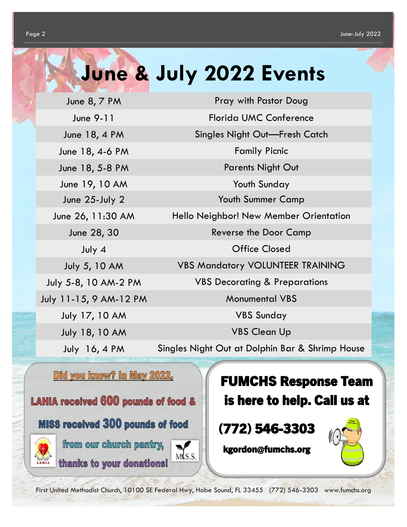### **June & July 2022 Events**

July 18, 10 AM VBS Clean Up

June 8, 7 PM Pray with Pastor Doug June 9-11 Florida UMC Conference June 18, 4 PM Singles Night Out—Fresh Catch June 18, 4-6 PM Family Picnic June 18, 5-8 PM Parents Night Out June 19, 10 AM Youth Sunday June 25-July 2 Youth Summer Camp June 26, 11:30 AM Hello Neighbor! New Member Orientation June 28, 30 Reverse the Door Camp July 4 Office Closed July 5, 10 AM VBS Mandatory VOLUNTEER TRAINING July 5-8, 10 AM-2 PM VBS Decorating & Preparations July 11-15, 9 AM-12 PM Monumental VBS July 17, 10 AM VBS Sunday

July 16, 4 PM Singles Night Out at Dolphin Bar & Shrimp House

Did you know? In May 2022,

**LAHIA received 600 pounds of food &** 

**MISS received 300 pounds of food** 



from our church pantry, thanks to your donations!



First United Methodist Church, 10100 SE Federal Hwy, Hobe Sound, FL 33455 (772) 546-3303 www.fumchs.org

FUMCHS Response Team is here to help. Call us at

### (772) 546-3303

kgordon@fumchs.org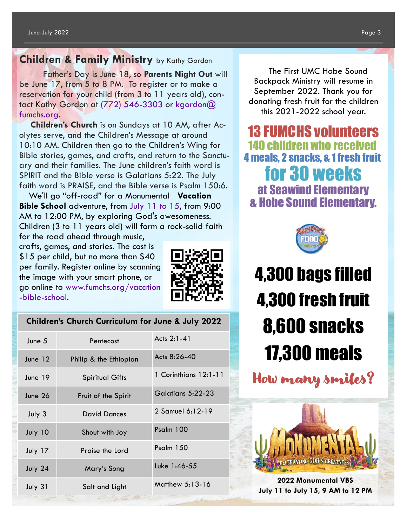#### **Children & Family Ministry** by Kathy Gordon

 Father's Day is June 18, so **Parents Night Out** will be June 17, from 5 to 8 PM. To register or to make a reservation for your child (from 3 to 11 years old), contact Kathy Gordon at (772) 546-3303 or kgordon@ fumchs.org.

**Children's Church** is on Sundays at 10 AM, after Acolytes serve, and the Children's Message at around 10:10 AM. Children then go to the Children's Wing for Bible stories, games, and crafts, and return to the Sanctuary and their families. The June children's faith word is SPIRIT and the Bible verse is Galatians 5:22. The July faith word is PRAISE, and the Bible verse is Psalm 150:6.

We'll go "off-road" for a Monumental **Vacation Bible School** adventure, from July 11 to 15, from 9:00 AM to 12:00 PM, by exploring God's awesomeness. Children (3 to 11 years old) will form a rock-solid faith for the road ahead through music,

crafts, games, and stories. The cost is \$15 per child, but no more than \$40 per family. Register online by scanning the image with your smart phone, or go online to www.fumchs.org/vacation -bible-school.



|  |  |  |  | <b>Children's Church Curriculum for June &amp; July 2022</b> |
|--|--|--|--|--------------------------------------------------------------|
|--|--|--|--|--------------------------------------------------------------|

| June 5  | Pentecost                                          | Acts 2:1-41           |
|---------|----------------------------------------------------|-----------------------|
| June 12 | Philip & the Ethiopian                             | Acts 8:26-40          |
| June 19 | <b>Spiritual Gifts</b>                             | 1 Corinthians 12:1-11 |
| June 26 | Fruit of the Spirit                                | Galatians 5:22-23     |
| July 3  | <b>David Dances</b>                                | 2 Samuel 6:12-19      |
| July 10 | Shout with Joy                                     | Psalm 100             |
| July 17 | Praise the Lord                                    | Psalm 150             |
| July 24 | Mary's Song                                        | Luke 1:46-55          |
| July 31 | Salt and Light<br>The Controller of the Controller | Matthew 5:13-16       |

The First UMC Hobe Sound Backpack Ministry will resume in September 2022. Thank you for donating fresh fruit for the children this 2021-2022 school year.

13 FUMCHS volunteers 140 children who received 4 meals, 2 snacks, & 1 fresh fruit for 30 weeks at Seawind Elementary & Hobe Sound Elementary.



## 4,300 bags filled 4,300 fresh fruit 8,600 snacks 17,300 meals

How many smiles?



**2022 Monumental VBS July 11 to July 15, 9 AM to 12 PM**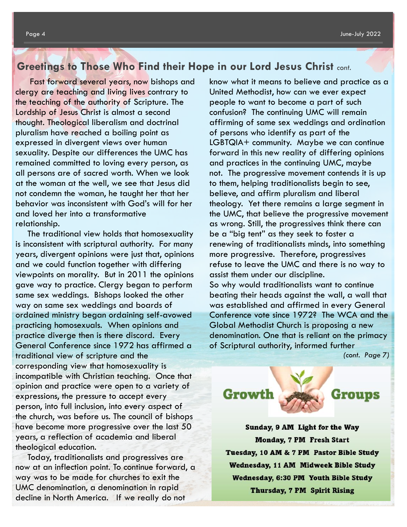#### **Greetings to Those Who Find their Hope in our Lord Jesus Christ** *cont.*

Fast forward several years, now bishops and clergy are teaching and living lives contrary to the teaching of the authority of Scripture. The Lordship of Jesus Christ is almost a second thought. Theological liberalism and doctrinal pluralism have reached a boiling point as expressed in divergent views over human sexuality. Despite our differences the UMC has remained committed to loving every person, as all persons are of sacred worth. When we look at the woman at the well, we see that Jesus did not condemn the woman, he taught her that her behavior was inconsistent with God's will for her and loved her into a transformative relationship.

The traditional view holds that homosexuality is inconsistent with scriptural authority. For many years, divergent opinions were just that, opinions and we could function together with differing viewpoints on morality. But in 2011 the opinions gave way to practice. Clergy began to perform same sex weddings. Bishops looked the other way on same sex weddings and boards of ordained ministry began ordaining self-avowed practicing homosexuals. When opinions and practice diverge then is there discord. Every General Conference since 1972 has affirmed a traditional view of scripture and the corresponding view that homosexuality is incompatible with Christian teaching. Once that opinion and practice were open to a variety of expressions, the pressure to accept every person, into full inclusion, into every aspect of the church, was before us. The council of bishops have become more progressive over the last 50 years, a reflection of academia and liberal theological education.

Today, traditionalists and progressives are now at an inflection point. To continue forward, a way was to be made for churches to exit the UMC denomination, a denomination in rapid decline in North America. If we really do not

know what it means to believe and practice as a United Methodist, how can we ever expect people to want to become a part of such confusion? The continuing UMC will remain affirming of same sex weddings and ordination of persons who identify as part of the LGBTQIA+ community. Maybe we can continue forward in this new reality of differing opinions and practices in the continuing UMC, maybe not. The progressive movement contends it is up to them, helping traditionalists begin to see, believe, and affirm pluralism and liberal theology. Yet there remains a large segment in the UMC, that believe the progressive movement as wrong. Still, the progressives think there can be a "big tent" as they seek to foster a renewing of traditionalists minds, into something more progressive. Therefore, progressives refuse to leave the UMC and there is no way to assist them under our discipline. So why would traditionalists want to continue beating their heads against the wall, a wall that was established and affirmed in every General

Conference vote since 1972? The WCA and the Global Methodist Church is proposing a new denomination. One that is reliant on the primacy of Scriptural authority, informed further

*(cont. Page 7)*





Sunday, 9 AM Light for the Way **Monday, 7 PM Fresh Start** Tuesday, 10 AM & 7 PM Pastor Bible Study Wednesday, 11 AM Midweek Bible Study **Wednesday, 6:30 PM Youth Bible Study Thursday, 7 PM Spirit Rising**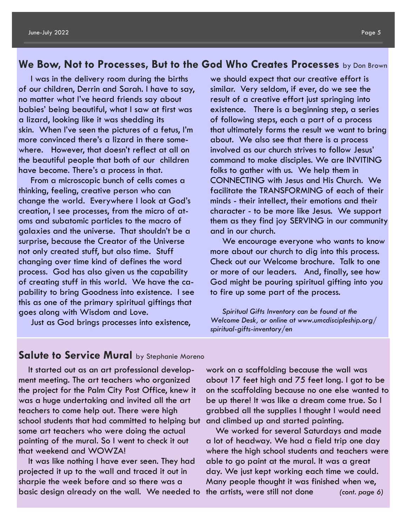#### **We Bow, Not to Processes, But to the God Who Creates Processes** by Don Brown

I was in the delivery room during the births of our children, Derrin and Sarah. I have to say, no matter what I've heard friends say about babies' being beautiful, what I saw at first was a lizard, looking like it was shedding its skin. When I've seen the pictures of a fetus, I'm more convinced there's a lizard in there somewhere. However, that doesn't reflect at all on the beautiful people that both of our children have become. There's a process in that.

From a microscopic bunch of cells comes a thinking, feeling, creative person who can change the world. Everywhere I look at God's creation, I see processes, from the micro of atoms and subatomic particles to the macro of galaxies and the universe. That shouldn't be a surprise, because the Creator of the Universe not only created stuff, but also time. Stuff changing over time kind of defines the word process. God has also given us the capability of creating stuff in this world. We have the capability to bring Goodness into existence. I see this as one of the primary spiritual giftings that goes along with Wisdom and Love.

Just as God brings processes into existence,

we should expect that our creative effort is similar. Very seldom, if ever, do we see the result of a creative effort just springing into existence. There is a beginning step, a series of following steps, each a part of a process that ultimately forms the result we want to bring about. We also see that there is a process involved as our church strives to follow Jesus' command to make disciples. We are INVITING folks to gather with us. We help them in CONNECTING with Jesus and His Church. We facilitate the TRANSFORMING of each of their minds - their intellect, their emotions and their character - to be more like Jesus. We support them as they find joy SERVING in our community and in our church.

We encourage everyone who wants to know more about our church to dig into this process. Check out our Welcome brochure. Talk to one or more of our leaders. And, finally, see how God might be pouring spiritual gifting into you to fire up some part of the process.

*Spiritual Gifts Inventory can be found at the Welcome Desk, or online at www.umcdiscipleship.org/ spiritual-gifts-inventory/en*

#### **Salute to Service Mural** by Stephanie Moreno

It started out as an art professional development meeting. The art teachers who organized the project for the Palm City Post Office, knew it was a huge undertaking and invited all the art teachers to come help out. There were high school students that had committed to helping but some art teachers who were doing the actual painting of the mural. So I went to check it out that weekend and WOWZA!

It was like nothing I have ever seen. They had projected it up to the wall and traced it out in sharpie the week before and so there was a basic design already on the wall. We needed to

work on a scaffolding because the wall was about 17 feet high and 75 feet long. I got to be on the scaffolding because no one else wanted to be up there! It was like a dream come true. So I grabbed all the supplies I thought I would need and climbed up and started painting.

We worked for several Saturdays and made a lot of headway. We had a field trip one day where the high school students and teachers were able to go paint at the mural. It was a great day. We just kept working each time we could. Many people thought it was finished when we, the artists, were still not done *(cont. page 6)*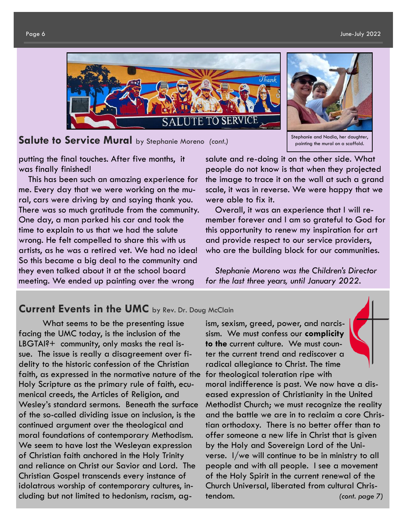

**Salute to Service Mural** by Stephanie Moreno *(cont.)*



Stephanie and Nadia, her daughter, painting the mural on a scaffold.

putting the final touches. After five months, it was finally finished!

This has been such an amazing experience for me. Every day that we were working on the mural, cars were driving by and saying thank you. There was so much gratitude from the community. One day, a man parked his car and took the time to explain to us that we had the salute wrong. He felt compelled to share this with us artists, as he was a retired vet. We had no idea! So this became a big deal to the community and they even talked about it at the school board meeting. We ended up painting over the wrong

salute and re-doing it on the other side. What people do not know is that when they projected the image to trace it on the wall at such a grand scale, it was in reverse. We were happy that we were able to fix it.

Overall, it was an experience that I will remember forever and I am so grateful to God for this opportunity to renew my inspiration for art and provide respect to our service providers, who are the building block for our communities.

*Stephanie Moreno was the Children's Director for the last three years, until January 2022.*

#### **Current Events in the UMC** by Rev. Dr. Doug McClain

What seems to be the presenting issue facing the UMC today, is the inclusion of the LBGTAI?+ community, only masks the real issue. The issue is really a disagreement over fidelity to the historic confession of the Christian faith, as expressed in the normative nature of the Holy Scripture as the primary rule of faith, ecumenical creeds, the Articles of Religion, and Wesley's standard sermons. Beneath the surface of the so-called dividing issue on inclusion, is the continued argument over the theological and moral foundations of contemporary Methodism. We seem to have lost the Wesleyan expression of Christian faith anchored in the Holy Trinity and reliance on Christ our Savior and Lord. The Christian Gospel transcends every instance of idolatrous worship of contemporary cultures, including but not limited to hedonism, racism, ag-

ism, sexism, greed, power, and narcissism. We must confess our **complicity to the** current culture. We must counter the current trend and rediscover a radical allegiance to Christ. The time for theological toleration ripe with moral indifference is past. We now have a diseased expression of Christianity in the United Methodist Church; we must recognize the reality and the battle we are in to reclaim a core Christian orthodoxy. There is no better offer than to offer someone a new life in Christ that is given by the Holy and Sovereign Lord of the Universe. I/we will continue to be in ministry to all people and with all people. I see a movement of the Holy Spirit in the current renewal of the Church Universal, liberated from cultural Christendom.*(cont. page 7)*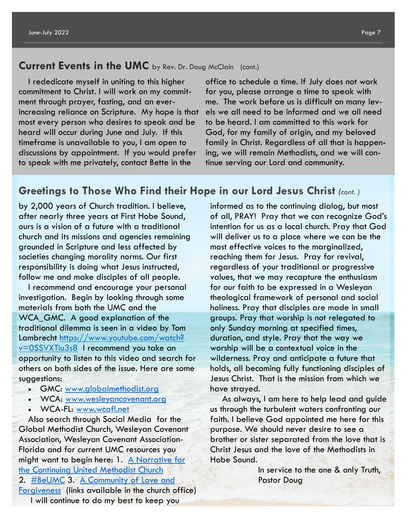#### **Current Events in the UMC** by Rev. Dr. Doug McClain (cont.)

I rededicate myself in uniting to this higher commitment to Christ. I will work on my commitment through prayer, fasting, and an everincreasing reliance on Scripture. My hope is that most every person who desires to speak and be heard will occur during June and July. If this timeframe is unavailable to you, I am open to discussions by appointment. If you would prefer to speak with me privately, contact Bette in the

office to schedule a time. If July does not work for you, please arrange a time to speak with me. The work before us is difficult on many levels we all need to be informed and we all need to be heard. I am committed to this work for God, for my family of origin, and my beloved family in Christ. Regardless of all that is happening, we will remain Methodists, and we will continue serving our Lord and community.

#### **Greetings to Those Who Find their Hope in our Lord Jesus Christ** *(cont. )*

by 2,000 years of Church tradition. I believe, after nearly three years at First Hobe Sound, ours is a vision of a future with a traditional church and its missions and agencies remaining grounded in Scripture and less affected by societies changing morality norms. Our first responsibility is doing what Jesus instructed, follow me and make disciples of all people.

I recommend and encourage your personal investigation. Begin by looking through some materials from both the UMC and the WCA GMC. A good explanation of the traditional dilemma is seen in a video by Tom Lambrecht [https://www.youtube.com/watch?](https://www.youtube.com/watch?v=0SSVXTiu3s8) [v=0SSVXTiu3s8](https://www.youtube.com/watch?v=0SSVXTiu3s8) I recommend you take an opportunity to listen to this video and search for others on both sides of the issue. Here are some suggestions:

- GMC: [www.globalmethodist.org](http://www.globalmethodist.org/)
- WCA: [www.wesleyancovenant.org](http://www.wesleyancovenant.org/)
- WCA-FL: [www.wcafl.net](http://www.wcafl.net/)

Also search through Social Media for the Global Methodist Church, Wesleyan Covenant Association, Wesleyan Covenant Association-Florida and for current UMC resources you might want to begin here: 1. A Narrative for [the Continuing United Methodist Church](https://florida-email.brtapp.com/!J4q6OWbLlga1stsNf7jPTI0KfZhip3N9XJxOSoyY9OItkxtolZIxw4oy96KHze7Q0) 2. [#BeUMC](https://florida-email.brtapp.com/!IAqRewjq3SehLYiZnnfeAeDp5C361ejiSAKpx-TO6rKU2WxzisGM4QUOOZ5cAzEOg) 3. [A Community of Love and](https://florida-email.brtapp.com/!y950eLhKZ7m0ZqoW+Y8F4cTuaYRbziMcsXFUE3VxCCUEWBXfRKPOq47hSR-CI9Seg)  [Forgiveness](https://florida-email.brtapp.com/!y950eLhKZ7m0ZqoW+Y8F4cTuaYRbziMcsXFUE3VxCCUEWBXfRKPOq47hSR-CI9Seg) (links available in the church office) I will continue to do my best to keep you

informed as to the continuing dialog, but most of all, PRAY! Pray that we can recognize God's intention for us as a local church. Pray that God will deliver us to a place where we can be the most effective voices to the marginalized, reaching them for Jesus. Pray for revival, regardless of your traditional or progressive values, that we may recapture the enthusiasm for our faith to be expressed in a Wesleyan theological framework of personal and social holiness. Pray that disciples are made in small groups. Pray that worship is not relegated to only Sunday morning at specified times, duration, and style. Pray that the way we worship will be a contextual voice in the wilderness. Pray and anticipate a future that holds, all becoming fully functioning disciples of Jesus Christ. That is the mission from which we have strayed.

As always, I am here to help lead and guide us through the turbulent waters confronting our faith. I believe God appointed me here for this purpose. We should never desire to see a brother or sister separated from the love that is Christ Jesus and the love of the Methodists in Hobe Sound.

> In service to the one & only Truth, Pastor Doug